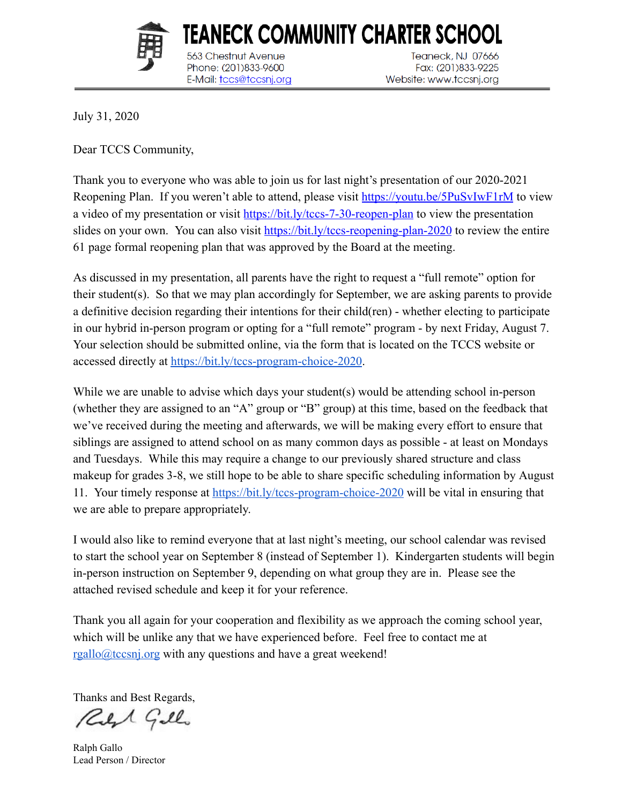

563 Chestnut Avenue

Phone: (201)833-9600

E-Mail: tccs@tccsnj.org

TEANECK COMMUNITY CHARTER SCHOOL Teaneck, NJ 07666 Fax: (201)833-9225 Website: www.tccsnj.org

July 31, 2020

Dear TCCS Community,

Thank you to everyone who was able to join us for last night's presentation of our 2020-2021 Reopening Plan. If you weren't able to attend, please visit<https://youtu.be/5PuSvIwF1rM> to view a video of my presentation or visit<https://bit.ly/tccs-7-30-reopen-plan> to view the presentation slides on your own. You can also visit<https://bit.ly/tccs-reopening-plan-2020> to review the entire 61 page formal reopening plan that was approved by the Board at the meeting.

As discussed in my presentation, all parents have the right to request a "full remote" option for their student(s). So that we may plan accordingly for September, we are asking parents to provide a definitive decision regarding their intentions for their child(ren) - whether electing to participate in our hybrid in-person program or opting for a "full remote" program - by next Friday, August 7. Your selection should be submitted online, via the form that is located on the TCCS website or accessed directly at<https://bit.ly/tccs-program-choice-2020>.

While we are unable to advise which days your student(s) would be attending school in-person (whether they are assigned to an "A" group or "B" group) at this time, based on the feedback that we've received during the meeting and afterwards, we will be making every effort to ensure that siblings are assigned to attend school on as many common days as possible - at least on Mondays and Tuesdays. While this may require a change to our previously shared structure and class makeup for grades 3-8, we still hope to be able to share specific scheduling information by August 11. Your timely response at<https://bit.ly/tccs-program-choice-2020> will be vital in ensuring that we are able to prepare appropriately.

I would also like to remind everyone that at last night's meeting, our school calendar was revised to start the school year on September 8 (instead of September 1). Kindergarten students will begin in-person instruction on September 9, depending on what group they are in. Please see the attached revised schedule and keep it for your reference.

Thank you all again for your cooperation and flexibility as we approach the coming school year, which will be unlike any that we have experienced before. Feel free to contact me at [rgallo@tccsnj.org](mailto:rgallo@tccsnj.org) with any questions and have a great weekend!

Thanks and Best Regards,

Reft Gillo

Ralph Gallo Lead Person / Director